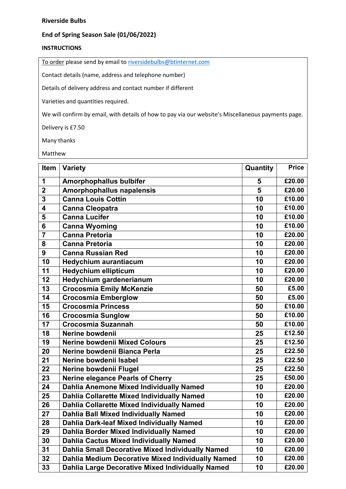## **Riverside Bulbs**

## **End of Spring Season Sale (01/06/2022)**

## **INSTRUCTIONS**

To order please send by email to [riversidebulbs@btinternet.com](mailto:riversidebulbs@btinternet.com)

Contact details (name, address and telephone number)

Details of delivery address and contact number if different

Varieties and quantities required.

We will confirm by email, with details of how to pay via our website's Miscellaneous payments page.

Delivery is £7.50

Many thanks

Matthew

| Item                    | <b>Variety</b>                                    | Quantity | <b>Price</b>               |
|-------------------------|---------------------------------------------------|----------|----------------------------|
| 1                       | <b>Amorphophallus bulbifer</b>                    | 5        | £20.00                     |
| $\overline{\mathbf{2}}$ | Amorphophallus napalensis                         | 5        | £20.00                     |
| 3                       | <b>Canna Louis Cottin</b>                         | 10       | £10.00                     |
| 4                       | <b>Canna Cleopatra</b>                            | 10       | £10.00                     |
| 5                       | <b>Canna Lucifer</b>                              | 10       | £10.00                     |
| 6                       | <b>Canna Wyoming</b>                              | 10       | £10.00                     |
| $\overline{7}$          | <b>Canna Pretoria</b>                             | 10       | £20.00                     |
| 8                       | <b>Canna Pretoria</b>                             | 10       | £20.00                     |
| 9                       | <b>Canna Russian Red</b>                          | 10       | £20.00                     |
| 10                      | <b>Hedychium aurantiacum</b>                      | 10       | £20.00                     |
| 11                      | <b>Hedychium ellipticum</b>                       | 10       | £20.00                     |
| 12                      | Hedychium gardenerianum                           | 10       | £20.00                     |
| 13                      | <b>Crocosmia Emily McKenzie</b>                   | 50       | £5.00                      |
| 14                      | <b>Crocosmia Emberglow</b>                        | 50       | £5.00                      |
| 15                      | <b>Crocosmia Princess</b>                         | 50       | £10.00                     |
| 16                      | Crocosmia Sunglow                                 | 50       | £10.00                     |
| 17                      | <b>Crocosmia Suzannah</b>                         | 50       | £10.00                     |
| 18                      | Nerine bowdenii                                   | 25       | £12.50                     |
| 19                      | <b>Nerine bowdenii Mixed Colours</b>              | 25       | £12.50                     |
| 20                      | Nerine bowdenii Bianca Perla                      | 25       | £22.50                     |
| 21                      | Nerine bowdenii Isabel                            | 25       | £22.50                     |
| 22                      | Nerine bowdenii Flugel                            | 25       | £22.50                     |
| 23                      | <b>Nerine elegance Pearls of Cherry</b>           | 25       | £50.00                     |
| 24                      | Dahlia Anemone Mixed Individually Named           | 10       | £20.00                     |
| 25                      | <b>Dahlia Collarette Mixed Individually Named</b> | 10       | £20.00                     |
| 26                      | <b>Dahlia Collarette Mixed Individually Named</b> | 10       | £20.00                     |
| 27                      | <b>Dahlia Ball Mixed Individually Named</b>       | 10       | £20.00                     |
| 28                      | Dahlia Dark-leaf Mixed Individually Named         | 10       | £20.00                     |
| 29                      | Dahlia Border Mixed Individually Named            | 10       | £20.00                     |
| 30                      | <b>Dahlia Cactus Mixed Individually Named</b>     | 10       | £20.00                     |
| 31                      | Dahlia Small Decorative Mixed Individually Named  | 10       | £20.00                     |
| 32                      | Dahlia Medium Decorative Mixed Individually Named | 10       | $\overline{\text{£}}20.00$ |
| 33                      | Dahlia Large Decorative Mixed Individually Named  | 10       | £20.00                     |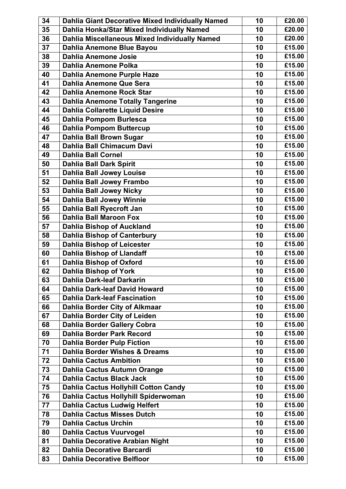| 34 | Dahlia Giant Decorative Mixed Individually Named | 10 | £20.00 |
|----|--------------------------------------------------|----|--------|
| 35 | Dahlia Honka/Star Mixed Individually Named       | 10 | £20.00 |
| 36 | Dahlia Miscellaneous Mixed Individually Named    | 10 | £20.00 |
| 37 | Dahlia Anemone Blue Bayou                        | 10 | £15.00 |
| 38 | <b>Dahlia Anemone Josie</b>                      | 10 | £15.00 |
| 39 | <b>Dahlia Anemone Polka</b>                      | 10 | £15.00 |
| 40 | Dahlia Anemone Purple Haze                       | 10 | £15.00 |
| 41 | <b>Dahlia Anemone Que Sera</b>                   | 10 | £15.00 |
| 42 | <b>Dahlia Anemone Rock Star</b>                  | 10 | £15.00 |
| 43 | <b>Dahlia Anemone Totally Tangerine</b>          | 10 | £15.00 |
| 44 | <b>Dahlia Collarette Liquid Desire</b>           | 10 | £15.00 |
| 45 | <b>Dahlia Pompom Burlesca</b>                    | 10 | £15.00 |
| 46 | <b>Dahlia Pompom Buttercup</b>                   | 10 | £15.00 |
| 47 | Dahlia Ball Brown Sugar                          | 10 | £15.00 |
| 48 | Dahlia Ball Chimacum Davi                        | 10 | £15.00 |
| 49 | <b>Dahlia Ball Cornel</b>                        | 10 | £15.00 |
| 50 | <b>Dahlia Ball Dark Spirit</b>                   | 10 | £15.00 |
| 51 | <b>Dahlia Ball Jowey Louise</b>                  | 10 | £15.00 |
| 52 | Dahlia Ball Jowey Frambo                         | 10 | £15.00 |
| 53 | <b>Dahlia Ball Jowey Nicky</b>                   | 10 | £15.00 |
| 54 | <b>Dahlia Ball Jowey Winnie</b>                  | 10 | £15.00 |
| 55 | Dahlia Ball Ryecroft Jan                         | 10 | £15.00 |
| 56 | <b>Dahlia Ball Maroon Fox</b>                    | 10 | £15.00 |
| 57 | <b>Dahlia Bishop of Auckland</b>                 | 10 | £15.00 |
| 58 | <b>Dahlia Bishop of Canterbury</b>               | 10 | £15.00 |
| 59 | <b>Dahlia Bishop of Leicester</b>                | 10 | £15.00 |
| 60 | <b>Dahlia Bishop of Llandaff</b>                 | 10 | £15.00 |
| 61 | <b>Dahlia Bishop of Oxford</b>                   | 10 | £15.00 |
| 62 | <b>Dahlia Bishop of York</b>                     | 10 | £15.00 |
| 63 | Dahlia Dark-leaf Darkarin                        | 10 | £15.00 |
| 64 | <b>Dahlia Dark-leaf David Howard</b>             | 10 | £15.00 |
| 65 | <b>Dahlia Dark-leaf Fascination</b>              | 10 | £15.00 |
| 66 | Dahlia Border City of Alkmaar                    | 10 | £15.00 |
| 67 | Dahlia Border City of Leiden                     | 10 | £15.00 |
| 68 | <b>Dahlia Border Gallery Cobra</b>               | 10 | £15.00 |
| 69 | Dahlia Border Park Record                        | 10 | £15.00 |
| 70 | <b>Dahlia Border Pulp Fiction</b>                | 10 | £15.00 |
| 71 | <b>Dahlia Border Wishes &amp; Dreams</b>         | 10 | £15.00 |
| 72 | <b>Dahlia Cactus Ambition</b>                    | 10 | £15.00 |
| 73 | Dahlia Cactus Autumn Orange                      | 10 | £15.00 |
| 74 | <b>Dahlia Cactus Black Jack</b>                  | 10 | £15.00 |
| 75 | <b>Dahlia Cactus Hollyhill Cotton Candy</b>      | 10 | £15.00 |
| 76 | Dahlia Cactus Hollyhill Spiderwoman              | 10 | £15.00 |
| 77 | <b>Dahlia Cactus Ludwig Helfert</b>              | 10 | £15.00 |
| 78 | <b>Dahlia Cactus Misses Dutch</b>                | 10 | £15.00 |
| 79 | <b>Dahlia Cactus Urchin</b>                      | 10 | £15.00 |
| 80 | <b>Dahlia Cactus Vuurvogel</b>                   | 10 | £15.00 |
| 81 | Dahlia Decorative Arabian Night                  | 10 | £15.00 |
| 82 | <b>Dahlia Decorative Barcardi</b>                | 10 | £15.00 |
| 83 | <b>Dahlia Decorative Belfloor</b>                | 10 | £15.00 |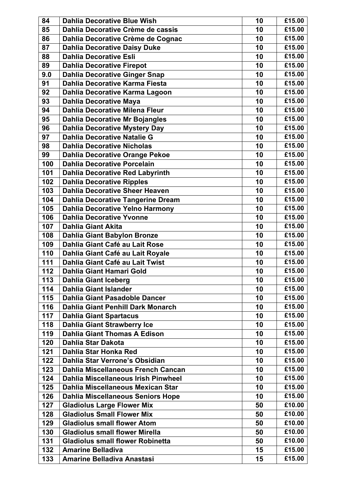| 84  | <b>Dahlia Decorative Blue Wish</b>         | 10 | £15.00 |
|-----|--------------------------------------------|----|--------|
| 85  | Dahlia Decorative Crème de cassis          | 10 | £15.00 |
| 86  | Dahlia Decorative Crème de Cognac          | 10 | £15.00 |
| 87  | <b>Dahlia Decorative Daisy Duke</b>        | 10 | £15.00 |
| 88  | <b>Dahlia Decorative Esli</b>              | 10 | £15.00 |
| 89  | <b>Dahlia Decorative Firepot</b>           | 10 | £15.00 |
| 9.0 | <b>Dahlia Decorative Ginger Snap</b>       | 10 | £15.00 |
| 91  | Dahlia Decorative Karma Fiesta             | 10 | £15.00 |
| 92  | Dahlia Decorative Karma Lagoon             | 10 | £15.00 |
| 93  | <b>Dahlia Decorative Maya</b>              | 10 | £15.00 |
| 94  | <b>Dahlia Decorative Milena Fleur</b>      | 10 | £15.00 |
| 95  | <b>Dahlia Decorative Mr Bojangles</b>      | 10 | £15.00 |
| 96  | <b>Dahlia Decorative Mystery Day</b>       | 10 | £15.00 |
| 97  | <b>Dahlia Decorative Natalie G</b>         | 10 | £15.00 |
| 98  | <b>Dahlia Decorative Nicholas</b>          | 10 | £15.00 |
| 99  | <b>Dahlia Decorative Orange Pekoe</b>      | 10 | £15.00 |
| 100 | <b>Dahlia Decorative Porcelain</b>         | 10 | £15.00 |
| 101 | <b>Dahlia Decorative Red Labyrinth</b>     | 10 | £15.00 |
| 102 | <b>Dahlia Decorative Ripples</b>           | 10 | £15.00 |
| 103 | <b>Dahlia Decorative Sheer Heaven</b>      | 10 | £15.00 |
| 104 | <b>Dahlia Decorative Tangerine Dream</b>   | 10 | £15.00 |
| 105 | <b>Dahlia Decorative Yelno Harmony</b>     | 10 | £15.00 |
| 106 | <b>Dahlia Decorative Yvonne</b>            | 10 | £15.00 |
| 107 | <b>Dahlia Giant Akita</b>                  | 10 | £15.00 |
| 108 | <b>Dahlia Giant Babylon Bronze</b>         | 10 | £15.00 |
| 109 | Dahlia Giant Café au Lait Rose             | 10 | £15.00 |
| 110 | Dahlia Giant Café au Lait Royale           | 10 | £15.00 |
| 111 | Dahlia Giant Café au Lait Twist            | 10 | £15.00 |
| 112 | Dahlia Giant Hamari Gold                   | 10 | £15.00 |
| 113 | Dahlia Giant Iceberg                       | 10 | £15.00 |
| 114 | <b>Dahlia Giant Islander</b>               | 10 | £15.00 |
| 115 | <b>Dahlia Giant Pasadoble Dancer</b>       | 10 | £15.00 |
| 116 | <b>Dahlia Giant Penhill Dark Monarch</b>   | 10 | £15.00 |
| 117 | <b>Dahlia Giant Spartacus</b>              | 10 | £15.00 |
| 118 | <b>Dahlia Giant Strawberry Ice</b>         | 10 | £15.00 |
| 119 | <b>Dahlia Giant Thomas A Edison</b>        | 10 | £15.00 |
| 120 | <b>Dahlia Star Dakota</b>                  | 10 | £15.00 |
| 121 | Dahlia Star Honka Red                      | 10 | £15.00 |
| 122 | Dahlia Star Verrone's Obsidian             | 10 | £15.00 |
| 123 | Dahlia Miscellaneous French Cancan         | 10 | £15.00 |
| 124 | <b>Dahlia Miscellaneous Irish Pinwheel</b> | 10 | £15.00 |
| 125 | Dahlia Miscellaneous Mexican Star          | 10 | £15.00 |
| 126 | <b>Dahlia Miscellaneous Seniors Hope</b>   | 10 | £15.00 |
| 127 | <b>Gladiolus Large Flower Mix</b>          | 50 | £10.00 |
| 128 | <b>Gladiolus Small Flower Mix</b>          | 50 | £10.00 |
| 129 | <b>Gladiolus small flower Atom</b>         | 50 | £10.00 |
| 130 | <b>Gladiolus small flower Mirella</b>      | 50 | £10.00 |
| 131 | <b>Gladiolus small flower Robinetta</b>    | 50 | £10.00 |
| 132 | <b>Amarine Belladiva</b>                   | 15 | £15.00 |
| 133 | <b>Amarine Belladiva Anastasi</b>          | 15 | £15.00 |